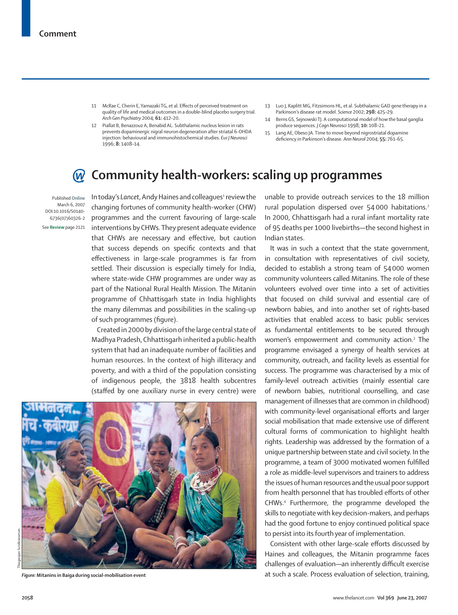- 11 McRae C, Cherin E, Yamazaki TG, et al. Effects of perceived treatment on quality of life and medical outcomes in a double-blind placebo surgery trial. *Arch Gen Psychiatry* 2004; **61:** 412–20.
- 12 Piallat B, Benazzouz A, Benabid AL. Subthalamic nucleus lesion in rats prevents dopaminergic nigral neuron degeneration after striatal 6-OHDA injection: behavioural and immunohistochemical studies. *Eur J Neurosci* 1996; **8:** 1408–14.
- 13 Luo J, Kaplitt MG, Fitzsimons HL, et al. Subthalamic GAD gene therapy in a Parkinson's disease rat model. *Science* 2002; **298:** 425–29.
- 14 Berns GS, Sejnowski TJ. A computational model of how the basal ganglia produce sequences. *J Cogn Neurosci* 1998; **10:** 108–21.
- 15 Lang AE, Obeso JA. Time to move beyond nigrostriatal dopamine defi ciency in Parkinson's disease. *Ann Neurol* 2004; **55:** 761–65.

## **Community health-workers: scaling up programmes**

Published **Online** March 6, 2007 DOI:10.1016/S0140- 6736(07)60326-2 See **Review** page 2121

In today's Lancet, Andy Haines and colleagues<del>'</del> review the changing fortunes of community health-worker (CHW) programmes and the current favouring of large-scale interventions by CHWs. They present adequate evidence that CHWs are necessary and effective, but caution that success depends on specific contexts and that effectiveness in large-scale programmes is far from settled. Their discussion is especially timely for India, where state-wide CHW programmes are under way as part of the National Rural Health Mission. The Mitanin programme of Chhattisgarh state in India highlights the many dilemmas and possibilities in the scaling-up of such programmes (figure).

Created in 2000 by division of the large central state of Madhya Pradesh, Chhattisgarh inherited a public-health system that had an inadequate number of facilities and human resources. In the context of high illiteracy and poverty, and with a third of the population consisting of indigenous people, the 3818 health subcentres (staffed by one auxiliary nurse in every centre) were



unable to provide outreach services to the 18 million rural population dispersed over 54000 habitations.<sup>2</sup> In 2000, Chhattisgarh had a rural infant mortality rate of 95 deaths per 1000 livebirths—the second highest in Indian states.

It was in such a context that the state government, in consultation with representatives of civil society, decided to establish a strong team of 54 000 women community volunteers called Mitanins. The role of these volunteers evolved over time into a set of activities that focused on child survival and essential care of newborn babies, and into another set of rights-based activities that enabled access to basic public services as fundamental entitlements to be secured through women's empowerment and community action.<sup>3</sup> The programme envisaged a synergy of health services at community, outreach, and facility levels as essential for success. The programme was characterised by a mix of family-level outreach activities (mainly essential care of newborn babies, nutritional counselling, and case management of illnesses that are common in childhood) with community-level organisational efforts and larger social mobilisation that made extensive use of different cultural forms of communication to highlight health rights. Leadership was addressed by the formation of a unique partnership between state and civil society. In the programme, a team of 3000 motivated women fulfilled a role as middle-level supervisors and trainers to address the issues of human resources and the usual poor support from health personnel that has troubled efforts of other CHWs.4 Furthermore, the programme developed the skills to negotiate with key decision-makers, and perhaps had the good fortune to enjoy continued political space to persist into its fourth year of implementation.

Consistent with other large-scale efforts discussed by Haines and colleagues, the Mitanin programme faces challenges of evaluation—an inherently difficult exercise *Figure:* **Mitanins in Baiga during social-mobilisation event** at such a scale. Process evaluation of selection, training,